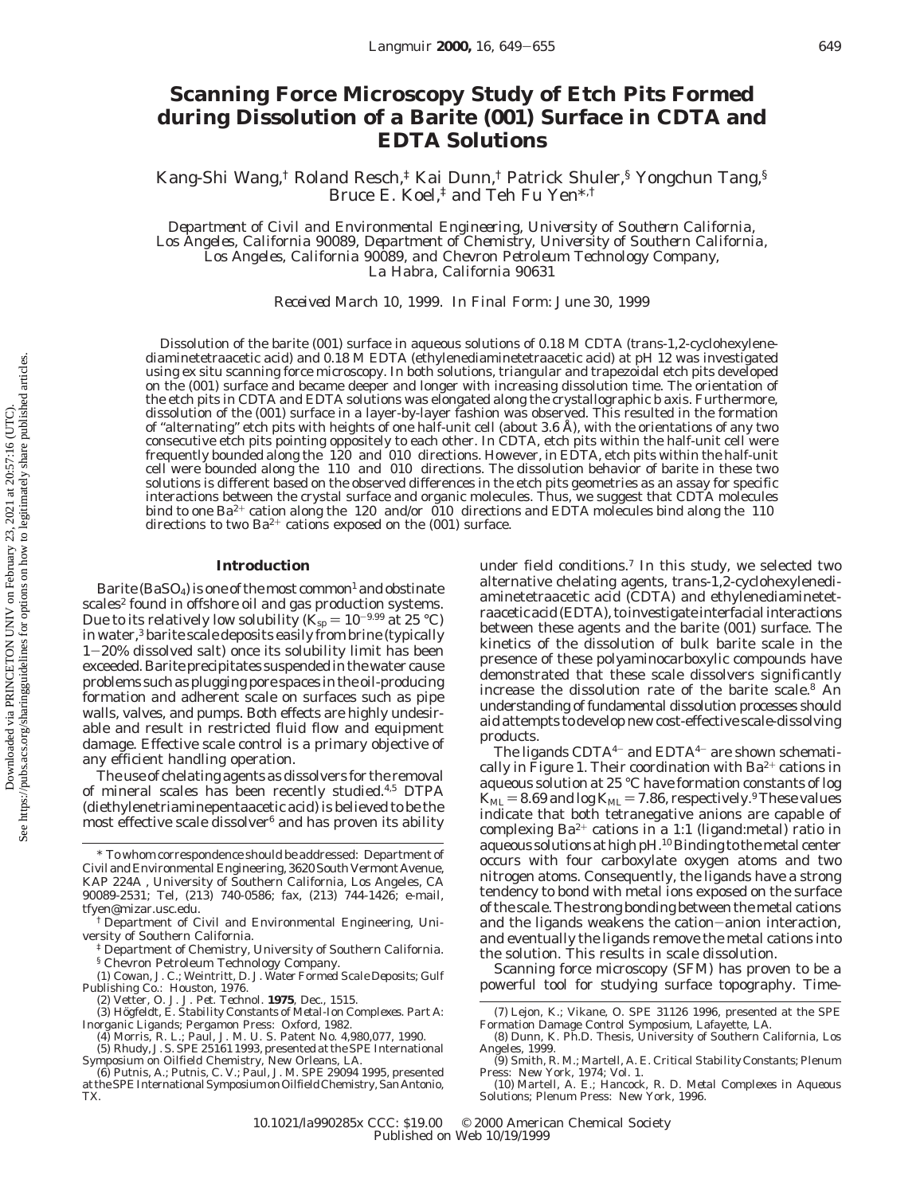# **Scanning Force Microscopy Study of Etch Pits Formed during Dissolution of a Barite (001) Surface in CDTA and EDTA Solutions**

Kang-Shi Wang,<sup>†</sup> Roland Resch,<sup>‡</sup> Kai Dunn,<sup>†</sup> Patrick Shuler,<sup>§</sup> Yongchun Tang,<sup>§</sup> Bruce E. Koel,‡ and Teh Fu Yen\*,†

*Department of Civil and Environmental Engineering, University of Southern California, Los Angeles, California 90089, Department of Chemistry, University of Southern California, Los Angeles, California 90089, and Chevron Petroleum Technology Company, La Habra, California 90631*

*Received March 10, 1999. In Final Form: June 30, 1999*

Dissolution of the barite (001) surface in aqueous solutions of 0.18 M CDTA (*trans*-1,2-cyclohexylenediaminetetraacetic acid) and 0.18 M EDTA (ethylenediaminetetraacetic acid) at pH 12 was investigated using ex situ scanning force microscopy. In both solutions, triangular and trapezoidal etch pits developed on the (001) surface and became deeper and longer with increasing dissolution time. The orientation of the etch pits in CDTA and EDTA solutions was elongated along the crystallographic *b* axis. Furthermore, dissolution of the (001) surface in a layer-by-layer fashion was observed. This resulted in the formation of "alternating" etch pits with heights of one half-unit cell (about 3.6 Å), with the orientations of any two consecutive etch pits pointing oppositely to each other. In CDTA, etch pits within the half-unit cell were frequently bounded along the 〈120〉 and 〈010〉 directions. However, in EDTA, etch pits within the half-unit cell were bounded along the 〈110〉 and 〈010〉 directions. The dissolution behavior of barite in these two solutions is different based on the observed differences in the etch pits geometries as an assay for specific interactions between the crystal surface and organic molecules. Thus, we suggest that CDTA molecules bind to one Ba<sup>2+</sup> cation along the  $\langle 120 \rangle$  and/or  $\langle \overline{010} \rangle$  directions and EDTA molecules bind along the  $\langle 110 \rangle$ directions to two  $Ba^{2+}$  cations exposed on the (001) surface.

#### **Introduction**

Barite (BaSO<sub>4</sub>) is one of the most common<sup>1</sup> and obstinate scales<sup>2</sup> found in offshore oil and gas production systems. Due to its relatively low solubility ( $K_{\text{sp}} = 10^{-9.99}$  at 25 °C) in water,<sup>3</sup> barite scale deposits easily from brine (typically <sup>1</sup>-20% dissolved salt) once its solubility limit has been exceeded. Barite precipitates suspended in the water cause problems such as plugging pore spaces in the oil-producing formation and adherent scale on surfaces such as pipe walls, valves, and pumps. Both effects are highly undesirable and result in restricted fluid flow and equipment damage. Effective scale control is a primary objective of any efficient handling operation.

The use of chelating agents as dissolvers for the removal of mineral scales has been recently studied.4,5 DTPA (diethylenetriaminepentaacetic acid) is believed to be the most effective scale dissolver $6$  and has proven its ability under field conditions.7 In this study, we selected two alternative chelating agents, *trans*-1,2-cyclohexylenediaminetetraacetic acid (CDTA) and ethylenediaminetetraacetic acid (EDTA), to investigate interfacial interactions between these agents and the barite (001) surface. The kinetics of the dissolution of bulk barite scale in the presence of these polyaminocarboxylic compounds have demonstrated that these scale dissolvers significantly increase the dissolution rate of the barite scale.8 An understanding of fundamental dissolution processes should aid attempts to develop new cost-effective scale-dissolving products.

The ligands  $CDTA^{4-}$  and  $EDTA^{4-}$  are shown schematically in Figure 1. Their coordination with  $Ba^{2+}$  cations in aqueous solution at 25 °C have formation constants of log  $K_{ML} = 8.69$  and  $log K_{ML} = 7.86$ , respectively.<sup>9</sup> These values indicate that both tetranegative anions are capable of complexing  $Ba^{2+}$  cations in a 1:1 (ligand:metal) ratio in aqueous solutions at high pH.<sup>10</sup> Binding to the metal center occurs with four carboxylate oxygen atoms and two nitrogen atoms. Consequently, the ligands have a strong tendency to bond with metal ions exposed on the surface of the scale. The strong bonding between the metal cations and the ligands weakens the cation-anion interaction, and eventually the ligands remove the metal cations into the solution. This results in scale dissolution.

Scanning force microscopy (SFM) has proven to be a powerful tool for studying surface topography. Time-

<sup>\*</sup> To whom correspondence should be addressed: Department of Civil and Environmental Engineering, 3620 South Vermont Avenue, KAP 224A , University of Southern California, Los Angeles, CA 90089-2531; Tel, (213) 740-0586; fax, (213) 744-1426; e-mail, tfyen@mizar.usc.edu.

<sup>†</sup> Department of Civil and Environmental Engineering, University of Southern California.

<sup>‡</sup> Department of Chemistry, University of Southern California. § Chevron Petroleum Technology Company.

<sup>(1)</sup> Cowan, J. C.; Weintritt, D. J. *Water Formed Scale Deposits*; Gulf

Publishing Co.: Houston, 1976.<br>
(2) Vetter, O. J. *J. Pet. Technol.* **1975**, Dec., 1515.<br>
(3) Högfeldt, E. *Stability Constants of Metal-Ion Complexes. Part A:*<br> *Inorganic Ligands*, Pergamon Press: Oxford, 1982.<br>
(4) Morr

at the SPE International Symposium on Oilfield Chemistry, San Antonio, TX.

<sup>(7)</sup> Lejon, K.; Vikane, O. SPE 31126 1996, presented at the SPE Formation Damage Control Symposium, Lafayette, LA.

<sup>(8)</sup> Dunn, K. Ph.D. Thesis, University of Southern California, Los Angeles, 1999.

<sup>(9)</sup> Smith, R. M.; Martell, A. E. *Critical Stability Constants*; Plenum Press: New York, 1974; Vol. 1.

<sup>(10)</sup> Martell, A. E.; Hancock, R. D. *Metal Complexes in Aqueous Solutions*; Plenum Press: New York, 1996.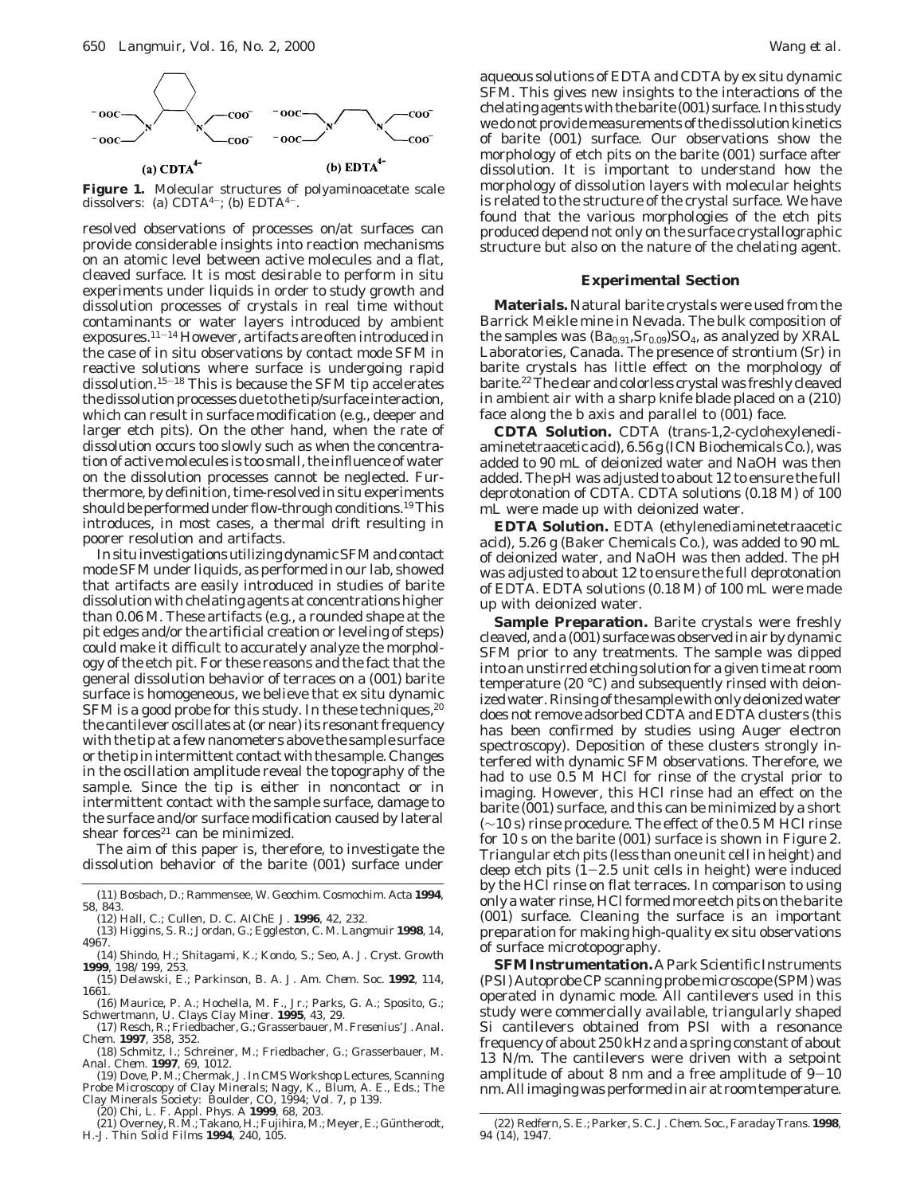

**Figure 1.** Molecular structures of polyaminoacetate scale dissolvers: (a)  $CDTA^{4-}$ ; (b)  $EDTA^{4-}$ .

resolved observations of processes on/at surfaces can provide considerable insights into reaction mechanisms on an atomic level between active molecules and a flat, cleaved surface. It is most desirable to perform in situ experiments under liquids in order to study growth and dissolution processes of crystals in real time without contaminants or water layers introduced by ambient exposures.11-<sup>14</sup> However, artifacts are often introduced in the case of in situ observations by contact mode SFM in reactive solutions where surface is undergoing rapid dissolution.15-<sup>18</sup> This is because the SFM tip accelerates the dissolution processes due to the tip/surface interaction, which can result in surface modification (e.g., deeper and larger etch pits). On the other hand, when the rate of dissolution occurs too slowly such as when the concentration of active molecules is too small, the influence of water on the dissolution processes cannot be neglected. Furthermore, by definition, time-resolved in situ experiments should be performed under flow-through conditions.<sup>19</sup>This introduces, in most cases, a thermal drift resulting in poorer resolution and artifacts.

InsituinvestigationsutilizingdynamicSFMandcontact mode SFM under liquids, as performed in our lab, showed that artifacts are easily introduced in studies of barite dissolution with chelating agents at concentrations higher than 0.06 M. These artifacts (e.g., a rounded shape at the pit edges and/or the artificial creation or leveling of steps) could make it difficult to accurately analyze the morphology of the etch pit. For these reasons and the fact that the general dissolution behavior of terraces on a (001) barite surface is homogeneous, we believe that ex situ dynamic SFM is a good probe for this study. In these techniques,<sup>20</sup> the cantilever oscillates at (or near) its resonant frequency with the tip at a few nanometers above the sample surface or the tip in intermittent contact with the sample. Changes in the oscillation amplitude reveal the topography of the sample. Since the tip is either in noncontact or in intermittent contact with the sample surface, damage to the surface and/or surface modification caused by lateral shear forces $21$  can be minimized.

The aim of this paper is, therefore, to investigate the dissolution behavior of the barite (001) surface under

- (11) Bosbach, D.; Rammensee, W. *Geochim. Cosmochim. Acta* **1994**, *58*, 843.
- (12) Hall, C.; Cullen, D. C. *AIChE J.* **1996**, *42*, 232.
- (13) Higgins, S. R.; Jordan, G.; Eggleston, C. M. *Langmuir* **1998**, *14*, 4967.
- (14) Shindo, H.; Shitagami, K.; Kondo, S.; Seo, A. *J. Cryst. Growth* **1999**, *198/199*, 253.
- (15) Delawski, E.; Parkinson, B. A. *J. Am. Chem. Soc.* **1992**, *114*, 1661.
- (16) Maurice, P. A.; Hochella, M. F., Jr.; Parks, G. A.; Sposito, G.; Schwertmann, U. *Clays Clay Miner.* **1995**, *43*, 29.
- (17) Resch, R.; Friedbacher, G.; Grasserbauer, M. *Fresenius' J. Anal. Chem.* **1997**, *358*, 352.
- (18) Schmitz, I.; Schreiner, M.; Friedbacher, G.; Grasserbauer, M. *Anal. Chem.* **1997**, *69*, 1012.
- (19) Dove, P. M.; Chermak, J. In CMS Workshop Lectures, *Scanning Probe Microscopy of Clay Minerals*; Nagy, K., Blum, A. E., Eds.; The Clay Minerals Society: Boulder, CO, 1994; Vol. 7, p 139.
- 
- (20) Chi, L. F. *Appl. Phys. A* **1999**, *68*, 203.<br>(21) Overney, R. M.; Takano, H.; Fujihira, M.; Meyer, E.; Güntherodt, H.-J*. Thin Solid Films* **1994**, *240*, 105.

aqueous solutions of EDTA and CDTA by ex situ dynamic SFM. This gives new insights to the interactions of the chelating agents with the barite (001) surface. In this study we do not provide measurements of the dissolution kinetics of barite (001) surface. Our observations show the morphology of etch pits on the barite (001) surface after dissolution. It is important to understand how the morphology of dissolution layers with molecular heights is related to the structure of the crystal surface. We have found that the various morphologies of the etch pits produced depend not only on the surface crystallographic structure but also on the nature of the chelating agent.

### **Experimental Section**

**Materials.** Natural barite crystals were used from the Barrick Meikle mine in Nevada. The bulk composition of the samples was  $(Ba_{0.91}, Sr_{0.09})SO_4$ , as analyzed by XRAL Laboratories, Canada. The presence of strontium (Sr) in barite crystals has little effect on the morphology of barite.22The clear and colorless crystal was freshly cleaved in ambient air with a sharp knife blade placed on a (210) face along the *b* axis and parallel to (001) face.

**CDTA Solution.** CDTA (*trans*-1,2-cyclohexylenediaminetetraacetic acid), 6.56 g (ICN Biochemicals Co.), was added to 90 mL of deionized water and NaOH was then added. The pH was adjusted to about 12 to ensure the full deprotonation of CDTA. CDTA solutions (0.18 M) of 100 mL were made up with deionized water.

**EDTA Solution.** EDTA (ethylenediaminetetraacetic acid), 5.26 g (Baker Chemicals Co.), was added to 90 mL of deionized water, and NaOH was then added. The pH was adjusted to about 12 to ensure the full deprotonation of EDTA. EDTA solutions (0.18 M) of 100 mL were made up with deionized water.

**Sample Preparation.** Barite crystals were freshly cleaved, and a (001) surface was observed in air by dynamic SFM prior to any treatments. The sample was dipped into an unstirred etching solution for a given time at room temperature (20 °C) and subsequently rinsed with deionized water. Rinsing of the sample with only deionized water does not remove adsorbed CDTA and EDTA clusters (this has been confirmed by studies using Auger electron spectroscopy). Deposition of these clusters strongly interfered with dynamic SFM observations. Therefore, we had to use 0.5 M HCl for rinse of the crystal prior to imaging. However, this HCl rinse had an effect on the barite (001) surface, and this can be minimized by a short (∼10 s) rinse procedure. The effect of the 0.5 M HCl rinse for 10 s on the barite (001) surface is shown in Figure 2. Triangular etch pits (less than one unit cell in height) and deep etch pits  $(1-2.5 \text{ unit cells in height})$  were induced by the HCl rinse on flat terraces. In comparison to using only a water rinse, HCl formed more etch pits on the barite (001) surface. Cleaning the surface is an important preparation for making high-quality ex situ observations of surface microtopography.

**SFM Instrumentation.** A Park Scientific Instruments (PSI) Autoprobe CP scanning probe microscope (SPM) was operated in dynamic mode. All cantilevers used in this study were commercially available, triangularly shaped Si cantilevers obtained from PSI with a resonance frequency of about 250 kHz and a spring constant of about 13 N/m. The cantilevers were driven with a setpoint amplitude of about 8 nm and a free amplitude of  $9-10$ nm. All imaging was performed in air at room temperature.

<sup>(22)</sup> Redfern, S. E.; Parker, S. C. *J. Chem. Soc., Faraday Trans.* **1998**, *94* (14), 1947.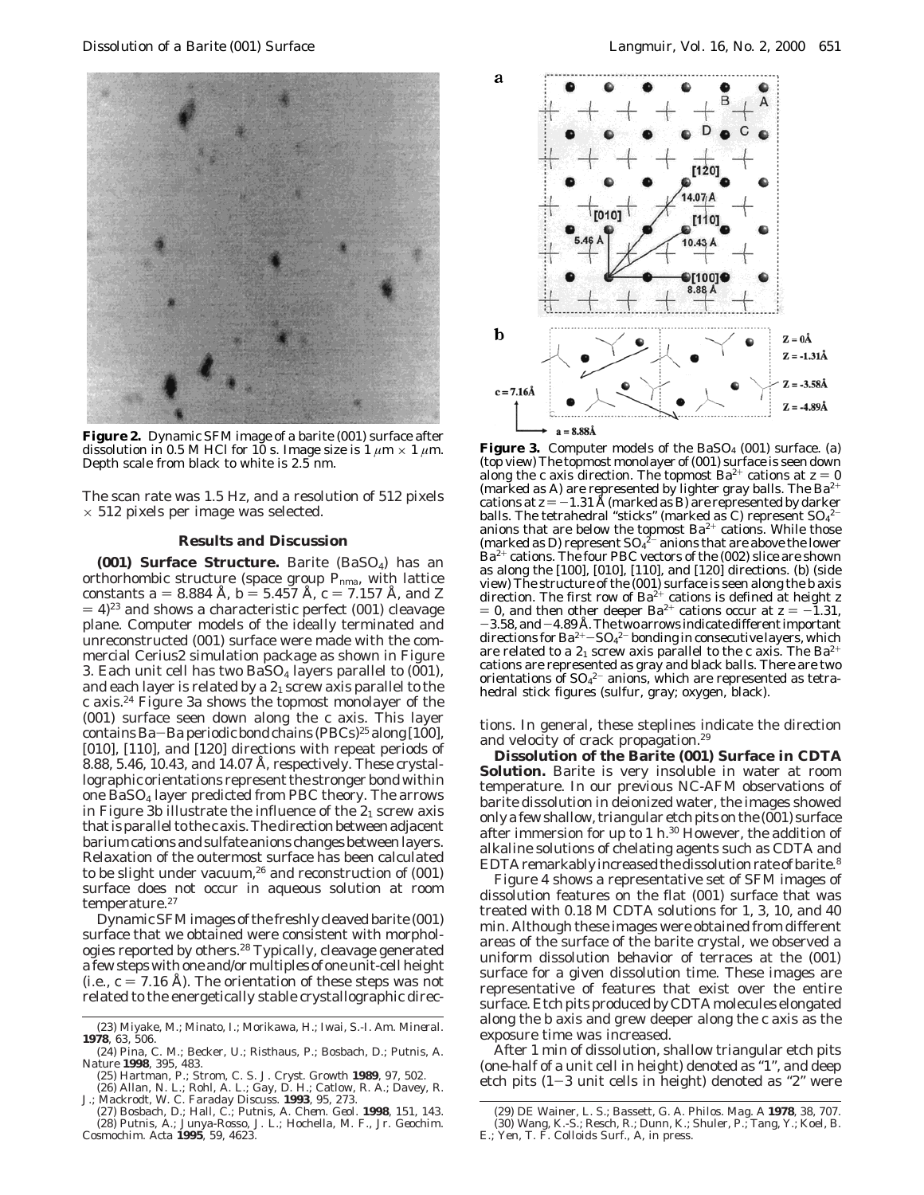

**Figure 2.** Dynamic SFM image of a barite (001) surface after dissolution in 0.5 M HCl for 10 s. Image size is  $1 \mu m \times 1 \mu m$ . Depth scale from black to white is 2.5 nm.

The scan rate was 1.5 Hz, and a resolution of 512 pixels  $\times$  512 pixels per image was selected.

#### **Results and Discussion**

**(001) Surface Structure.** Barite (BaSO<sub>4</sub>) has an orthorhombic structure (space group *Pnma*, with lattice constants  $a = 8.884$  Å,  $b = 5.457$  Å,  $c = 7.157$  Å, and *Z*  $(4)^{23}$  and shows a characteristic perfect (001) cleavage plane. Computer models of the ideally terminated and unreconstructed (001) surface were made with the commercial Cerius2 simulation package as shown in Figure 3. Each unit cell has two  $BaSO<sub>4</sub>$  layers parallel to (001), and each layer is related by a  $2<sub>1</sub>$  screw axis parallel to the *c* axis.24 Figure 3a shows the topmost monolayer of the (001) surface seen down along the *c* axis. This layer contains Ba-Ba periodic bond chains  $(PBCs)^{25}$  along [100], [010], [110], and [120] directions with repeat periods of 8.88, 5.46, 10.43, and 14.07 Å, respectively. These crystallographic orientations represent the stronger bond within one BaSO4 layer predicted from PBC theory. The arrows in Figure 3b illustrate the influence of the  $2<sub>1</sub>$  screw axis that is parallel to the *c* axis. The direction between adjacent barium cations and sulfate anions changes between layers. Relaxation of the outermost surface has been calculated to be slight under vacuum, $26$  and reconstruction of  $(001)$ surface does not occur in aqueous solution at room temperature.<sup>27</sup>

Dynamic SFM images of the freshly cleaved barite (001) surface that we obtained were consistent with morphologies reported by others.<sup>28</sup> Typically, cleavage generated a few steps with one and/or multiples of one unit-cell height (i.e.,  $c = 7.16$  Å). The orientation of these steps was not related to the energetically stable crystallographic direc-

- (25) Hartman, P.; Strom, C. S. *J. Cryst. Growth* **1989**, *97*, 502.
- (26) Allan, N. L.; Rohl, A. L.; Gay, D. H.; Catlow, R. A.; Davey, R. J.; Mackrodt, W. C. *Faraday Discuss.* **1993**, *95*, 273.



**Figure 3.** Computer models of the BaSO<sub>4</sub> (001) surface. (a) (top view) The topmost monolayer of (001) surface is seen down along the *c* axis direction. The topmost  $Ba^{2+}$  cations at  $z = 0$ (marked as A) are represented by lighter gray balls. The Ba<sup>2+</sup> cations at  $z = -1.31$  Å (marked as B) are represented by darker balls. The tetrahedral "sticks" (marked as C) represent  ${\rm SO}_4{}^{2-}$ anions that are below the topmost  $Ba^{2+}$  cations. While those (marked as D) represent  $SO_4^2$  anions that are above the lower  $Ba^{2+}$  cations. The four PBC vectors of the (002) slice are shown as along the [100], [010], [110], and [120] directions. (b) (side view) The structure of the (001) surface is seen along the *b* axis direction. The first row of Ba2<sup>+</sup> cations is defined at height *z* = 0, and then other deeper Ba<sup>2+</sup> cations occur at  $z = -1.31$ ,<br> $-3.58$ , and  $-4.89$  Å. The two arrows indicate different important  $-3.58$ , and  $-4.89$  Å. The two arrows indicate different important directions for Ba<sup>2+</sup>–SO<sub>4</sub><sup>2-</sup> bonding in consecutive layers, which<br>are related to a 2, screw axis parallel to the *c* axis. The Ba<sup>2+</sup> are related to a  $2<sub>1</sub>$  screw axis parallel to the *c* axis. The Ba<sup>2-</sup> cations are represented as gray and black balls. There are two orientations of  $\text{SO}_4{}^{2-}$  anions, which are represented as tetrahedral stick figures (sulfur, gray; oxygen, black).

tions. In general, these steplines indicate the direction and velocity of crack propagation.<sup>29</sup>

**Dissolution of the Barite (001) Surface in CDTA Solution.** Barite is very insoluble in water at room temperature. In our previous NC-AFM observations of barite dissolution in deionized water, the images showed only a few shallow, triangular etch pits on the (001) surface after immersion for up to 1 h.30 However, the addition of alkaline solutions of chelating agents such as CDTA and EDTA remarkably increased the dissolution rate of barite.<sup>8</sup>

Figure 4 shows a representative set of SFM images of dissolution features on the flat (001) surface that was treated with 0.18 M CDTA solutions for 1, 3, 10, and 40 min. Although these images were obtained from different areas of the surface of the barite crystal, we observed a uniform dissolution behavior of terraces at the (001) surface for a given dissolution time. These images are representative of features that exist over the entire surface. Etch pits produced by CDTA molecules elongated along the *b* axis and grew deeper along the *c* axis as the exposure time was increased.

After 1 min of dissolution, shallow triangular etch pits (one-half of a unit cell in height) denoted as "1", and deep etch pits (1-3 unit cells in height) denoted as "2" were

<sup>(23)</sup> Miyake, M.; Minato, I.; Morikawa, H.; Iwai, S.-I. *Am. Mineral.* **1978**, *63*, 506.

<sup>(24)</sup> Pina, C. M.; Becker, U.; Risthaus, P.; Bosbach, D.; Putnis, A. *Nature* **1998**, *395*, 483.

<sup>(27)</sup> Bosbach, D.; Hall, C.; Putnis, A. *Chem. Geol.* **1998**, *151*, 143. (28) Putnis, A.; Junya-Rosso, J. L.; Hochella, M. F., Jr. *Geochim. Cosmochim. Acta* **1995**, *59*, 4623.

<sup>(29)</sup> DE Wainer, L. S.; Bassett, G. A. *Philos. Mag. A* **1978**, *38*, 707. (30) Wang, K.-S.; Resch, R.; Dunn, K.; Shuler, P.; Tang, Y.; Koel, B. E.; Yen, T. F. *Colloids Surf., A*, in press.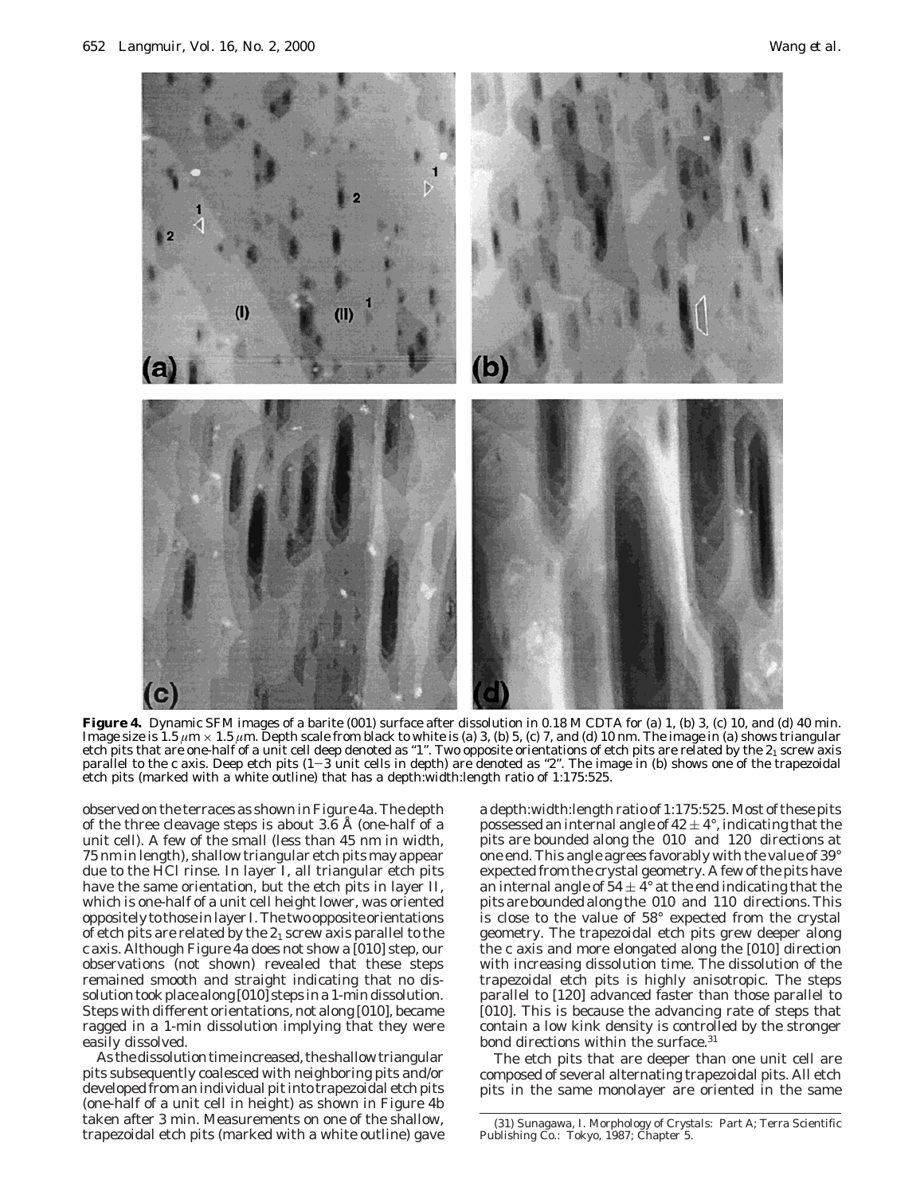

Figure 4. Dynamic SFM images of a barite (001) surface after dissolution in 0.18 M CDTA for (a) 1, (b) 3, (c) 10, and (d) 40 min. Image size is 1.5  $\mu$ m  $\times$  1.5  $\mu$ m. Depth scale from black to white is (a) 3, (b) 5, (c) 7, and (d) 10 nm. The image in (a) shows triangular etch pits that are one-half of a unit cell deep denoted as "1". Two opposite orientations of etch pits are related by the  $2_1$  screw axis parallel to the *<sup>c</sup>* axis. Deep etch pits (1-3 unit cells in depth) are denoted as "2". The image in (b) shows one of the trapezoidal etch pits (marked with a white outline) that has a depth:width:length ratio of 1:175:525.

observed on the terraces as shown in Figure 4a. The depth of the three cleavage steps is about 3.6 Å (one-half of a unit cell). A few of the small (less than 45 nm in width, 75 nm in length), shallow triangular etch pits may appear due to the HCl rinse. In layer I, all triangular etch pits have the same orientation, but the etch pits in layer II, which is one-half of a unit cell height lower, was oriented oppositely to those in layer I. The two opposite orientations of etch pits are related by the  $2<sub>1</sub>$  screw axis parallel to the *c* axis. Although Figure 4a does not show a [010] step, our observations (not shown) revealed that these steps remained smooth and straight indicating that no dissolution took place along [010] steps in a 1-min dissolution. Steps with different orientations, not along [010], became ragged in a 1-min dissolution implying that they were easily dissolved.

As the dissolution time increased, the shallow triangular pits subsequently coalesced with neighboring pits and/or developed from an individual pit into trapezoidal etch pits (one-half of a unit cell in height) as shown in Figure 4b taken after 3 min. Measurements on one of the shallow, trapezoidal etch pits (marked with a white outline) gave

a depth:width:length ratio of 1:175:525. Most of these pits possessed an internal angle of  $42 \pm 4^{\circ}$ , indicating that the pits are bounded along the  $\langle 010 \rangle$  and  $\langle 120 \rangle$  directions at one end. This angle agrees favorably with the value of 39° expected from the crystal geometry. A few of the pits have an internal angle of  $54 \pm 4^{\circ}$  at the end indicating that the pits are bounded along the 〈010〉 and 〈110〉 directions. This is close to the value of 58° expected from the crystal geometry. The trapezoidal etch pits grew deeper along the *c* axis and more elongated along the [010] direction with increasing dissolution time. The dissolution of the trapezoidal etch pits is highly anisotropic. The steps parallel to [120] advanced faster than those parallel to [010]. This is because the advancing rate of steps that contain a low kink density is controlled by the stronger bond directions within the surface.<sup>31</sup>

The etch pits that are deeper than one unit cell are composed of several alternating trapezoidal pits. All etch pits in the same monolayer are oriented in the same

<sup>(31)</sup> Sunagawa, I. *Morphology of Crystals: Part A*; Terra Scientific Publishing Co.: Tokyo, 1987; Chapter 5.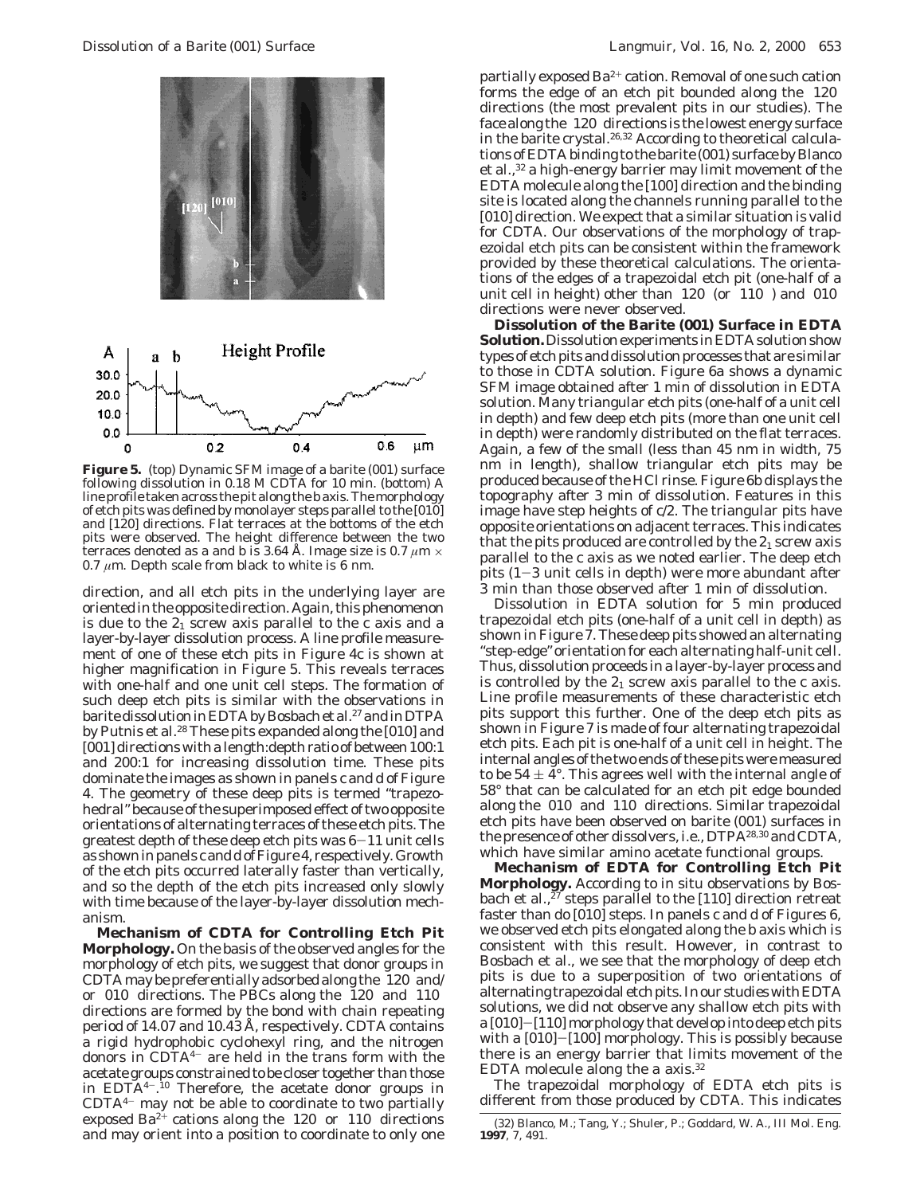

**Figure 5.** (top) Dynamic SFM image of a barite (001) surface following dissolution in 0.18 M CDTA for 10 min. (bottom) A line profile taken across the pit along the *b* axis. The morphology of etch pits was defined by monolayer steps parallel to the [010] and [120] directions. Flat terraces at the bottoms of the etch pits were observed. The height difference between the two terraces denoted as a and b is 3.64 Å. Image size is 0.7  $\mu$ m  $\times$ 0.7  $\mu$ m. Depth scale from black to white is 6 nm.

direction, and all etch pits in the underlying layer are oriented in the opposite direction. Again, this phenomenon is due to the  $2<sub>1</sub>$  screw axis parallel to the  $c$  axis and a layer-by-layer dissolution process. A line profile measurement of one of these etch pits in Figure 4c is shown at higher magnification in Figure 5. This reveals terraces with one-half and one unit cell steps. The formation of such deep etch pits is similar with the observations in barite dissolution in EDTA by Bosbach et al.<sup>27</sup> and in DTPA by Putnis et al.28 These pits expanded along the [010] and [001] directions with a length:depth ratio of between 100:1 and 200:1 for increasing dissolution time. These pits dominate the images as shown in panels c and d of Figure 4. The geometry of these deep pits is termed "trapezohedral" because of the superimposed effect of two opposite orientations of alternating terraces of these etch pits. The greatest depth of these deep etch pits was  $6-11$  unit cells as shown in panels c and d of Figure 4, respectively. Growth of the etch pits occurred laterally faster than vertically, and so the depth of the etch pits increased only slowly with time because of the layer-by-layer dissolution mechanism.

**Mechanism of CDTA for Controlling Etch Pit Morphology.** On the basis of the observed angles for the morphology of etch pits, we suggest that donor groups in CDTA may be preferentially adsorbed along the 〈120〉 and/ or  $\langle 010 \rangle$  directions. The PBCs along the  $\langle 120 \rangle$  and  $\langle 110 \rangle$ directions are formed by the bond with chain repeating period of 14.07 and 10.43 Å, respectively. CDTA contains a rigid hydrophobic cyclohexyl ring, and the nitrogen donors in CDTA4- are held in the trans form with the acetate groups constrained to be closer together than those in EDTA4-. <sup>10</sup> Therefore, the acetate donor groups in CDTA4- may not be able to coordinate to two partially exposed Ba<sup>2+</sup> cations along the  $\langle 120 \rangle$  or  $\langle 110 \rangle$  directions and may orient into a position to coordinate to only one

partially exposed  $Ba^{2+}$  cation. Removal of one such cation forms the edge of an etch pit bounded along the  $\langle 120 \rangle$ directions (the most prevalent pits in our studies). The face along the 〈120〉 directions is the lowest energy surface in the barite crystal.26,32 According to theoretical calculations of EDTA binding to the barite (001) surface by Blanco et al.,32 a high-energy barrier may limit movement of the EDTA molecule along the [100] direction and the binding site is located along the channels running parallel to the [010] direction. We expect that a similar situation is valid for CDTA. Our observations of the morphology of trapezoidal etch pits can be consistent within the framework provided by these theoretical calculations. The orientations of the edges of a trapezoidal etch pit (one-half of a unit cell in height) other than  $\langle 120 \rangle$  (or  $\langle 110 \rangle$ ) and  $\langle 010 \rangle$ directions were never observed.

**Dissolution of the Barite (001) Surface in EDTA Solution.**Dissolution experiments in EDTA solution show types of etch pits and dissolution processes that are similar to those in CDTA solution. Figure 6a shows a dynamic SFM image obtained after 1 min of dissolution in EDTA solution. Many triangular etch pits (one-half of a unit cell in depth) and few deep etch pits (more than one unit cell in depth) were randomly distributed on the flat terraces. Again, a few of the small (less than 45 nm in width, 75 nm in length), shallow triangular etch pits may be produced because of the HCl rinse. Figure 6b displays the topography after 3 min of dissolution. Features in this image have step heights of *c*/2. The triangular pits have opposite orientations on adjacent terraces. This indicates that the pits produced are controlled by the  $2<sub>1</sub>$  screw axis parallel to the *c* axis as we noted earlier. The deep etch pits  $(1-3$  unit cells in depth) were more abundant after 3 min than those observed after 1 min of dissolution.

Dissolution in EDTA solution for 5 min produced trapezoidal etch pits (one-half of a unit cell in depth) as shown in Figure 7. These deep pits showed an alternating "step-edge" orientation for each alternating half-unit cell. Thus, dissolution proceeds in a layer-by-layer process and is controlled by the  $2<sub>1</sub>$  screw axis parallel to the  $c$  axis. Line profile measurements of these characteristic etch pits support this further. One of the deep etch pits as shown in Figure 7 is made of four alternating trapezoidal etch pits. Each pit is one-half of a unit cell in height. The internal angles of the two ends of these pits were measured to be  $54 \pm 4^{\circ}$ . This agrees well with the internal angle of 58° that can be calculated for an etch pit edge bounded along the  $\langle 010 \rangle$  and  $\langle 110 \rangle$  directions. Similar trapezoidal etch pits have been observed on barite (001) surfaces in the presence of other dissolvers, i.e., DTPA28,30 and CDTA, which have similar amino acetate functional groups.

**Mechanism of EDTA for Controlling Etch Pit Morphology.** According to in situ observations by Bosbach et al.,<sup>27</sup> steps parallel to the [110] direction retreat faster than do [010] steps. In panels c and d of Figures 6, we observed etch pits elongated along the *b* axis which is consistent with this result. However, in contrast to Bosbach et al., we see that the morphology of deep etch pits is due to a superposition of two orientations of alternating trapezoidal etch pits. In our studies with EDTA solutions, we did not observe any shallow etch pits with a [010]-[110] morphology that develop into deep etch pits with a [010]-[100] morphology. This is possibly because there is an energy barrier that limits movement of the EDTA molecule along the *a* axis.32

The trapezoidal morphology of EDTA etch pits is different from those produced by CDTA. This indicates

<sup>(32)</sup> Blanco, M.; Tang, Y.; Shuler, P.; Goddard, W. A., III *Mol. Eng.* **1997**, *7*, 491.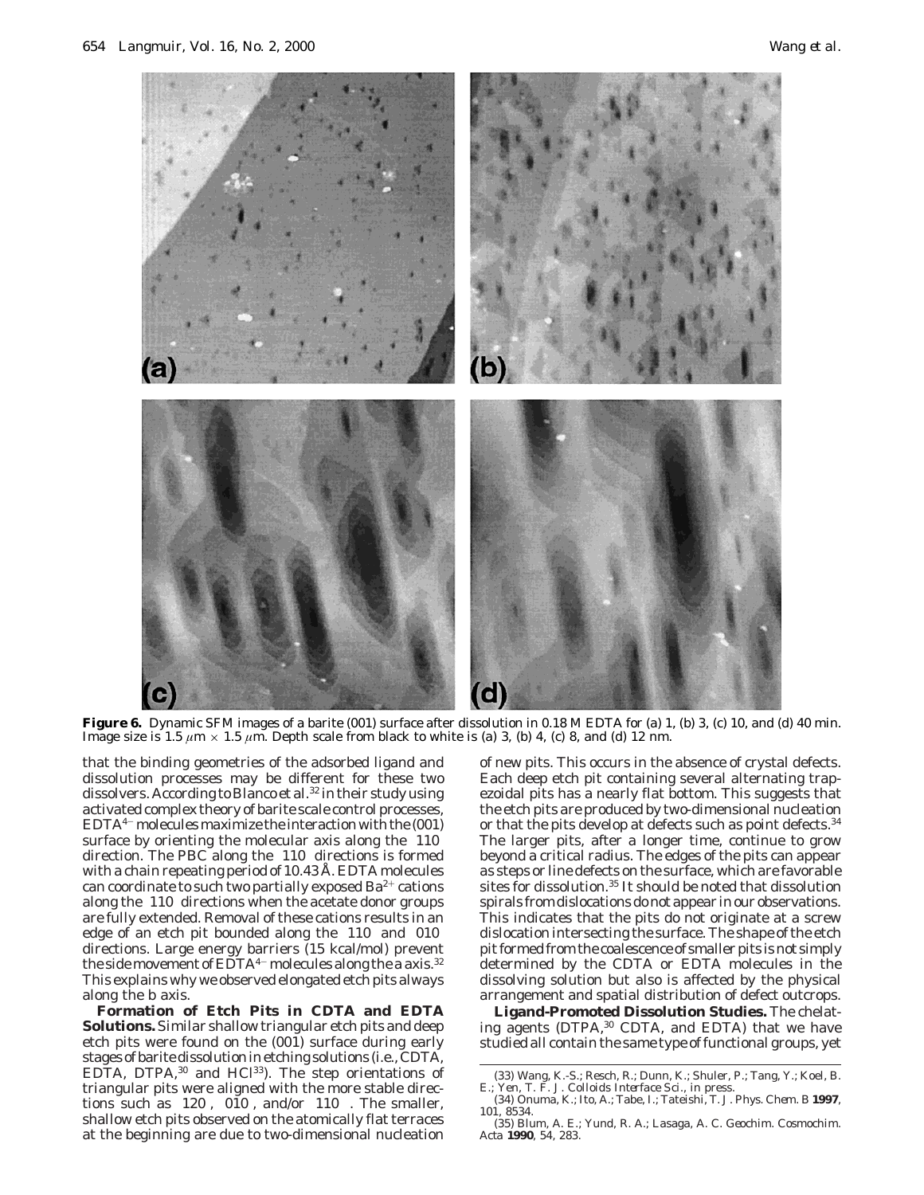

Figure 6. Dynamic SFM images of a barite (001) surface after dissolution in 0.18 M EDTA for (a) 1, (b) 3, (c) 10, and (d) 40 min. Image size is 1.5  $\mu$ m × 1.5  $\mu$ m. Depth scale from black to white is (a) 3, (b) 4, (c) 8, and (d) 12 nm.

that the binding geometries of the adsorbed ligand and dissolution processes may be different for these two dissolvers. According to Blanco et al.<sup>32</sup> in their study using activated complex theory of barite scale control processes,  $EDTA^{4-}$  molecules maximize the interaction with the  $(001)$ surface by orienting the molecular axis along the  $\langle 110 \rangle$ direction. The PBC along the 〈110〉 directions is formed with a chain repeating period of 10.43 Å. EDTA molecules can coordinate to such two partially exposed  $Ba^{2+}$  cations along the  $\langle 110 \rangle$  directions when the acetate donor groups are fully extended. Removal of these cations results in an edge of an etch pit bounded along the  $\langle 110 \rangle$  and  $\langle 010 \rangle$ directions. Large energy barriers (15 kcal/mol) prevent the side movement of EDTA<sup>4-</sup> molecules along the *a* axis.<sup>32</sup> This explains why we observed elongated etch pits always along the *b* axis.

**Formation of Etch Pits in CDTA and EDTA Solutions.** Similar shallow triangular etch pits and deep etch pits were found on the (001) surface during early stages of barite dissolution in etching solutions (i.e., CDTA, EDTA, DTPA,<sup>30</sup> and HCl<sup>33</sup>). The step orientations of triangular pits were aligned with the more stable directions such as  $\langle 120 \rangle$ ,  $\langle 010 \rangle$ , and/or  $\langle 110 \rangle$ . The smaller, shallow etch pits observed on the atomically flat terraces at the beginning are due to two-dimensional nucleation

of new pits. This occurs in the absence of crystal defects. Each deep etch pit containing several alternating trapezoidal pits has a nearly flat bottom. This suggests that the etch pits are produced by two-dimensional nucleation or that the pits develop at defects such as point defects.<sup>34</sup> The larger pits, after a longer time, continue to grow beyond a critical radius. The edges of the pits can appear as steps or line defects on the surface, which are favorable sites for dissolution.35 It should be noted that dissolution spirals from dislocations do not appear in our observations. This indicates that the pits do not originate at a screw dislocation intersecting the surface. The shape of the etch pit formed from the coalescence of smaller pits is not simply determined by the CDTA or EDTA molecules in the dissolving solution but also is affected by the physical arrangement and spatial distribution of defect outcrops.

**Ligand-Promoted Dissolution Studies.** The chelating agents (DTPA,<sup>30</sup> CDTA, and EDTA) that we have studied all contain the same type of functional groups, yet

<sup>(33)</sup> Wang, K.-S.; Resch, R.; Dunn, K.; Shuler, P.; Tang, Y.; Koel, B. E.; Yen, T. F. *J. Colloids Interface Sci.*, in press.

<sup>(34)</sup> Onuma, K.; Ito, A.; Tabe, I.; Tateishi, T. *J. Phys. Chem. B* **1997**, *101*, 8534.

<sup>(35)</sup> Blum, A. E.; Yund, R. A.; Lasaga, A. C. *Geochim. Cosmochim. Acta* **1990**, *54*, 283.